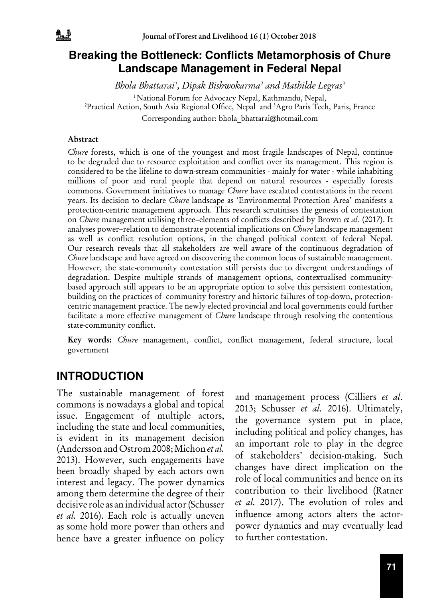

#### **Breaking the Bottleneck: Conflicts Metamorphosis of Chure Landscape Management in Federal Nepal**

*Bhola Bhattarai1 , Dipak Bishwokarma2 and Mathilde Legras3* <sup>1</sup> National Forum for Advocacy Nepal, Kathmandu, Nepal, Practical Action, South Asia Regional Office, Nepal and <sup>3</sup> Agro Paris Tech, Paris, France Corresponding author: bhola\_bhattarai@hotmail.com

#### Abstract

*Chure* forests, which is one of the youngest and most fragile landscapes of Nepal, continue to be degraded due to resource exploitation and conflict over its management. This region is considered to be the lifeline to down-stream communities - mainly for water - while inhabiting millions of poor and rural people that depend on natural resources - especially forests commons. Government initiatives to manage *Chure* have escalated contestations in the recent years. Its decision to declare *Chure* landscape as 'Environmental Protection Area' manifests a protection-centric management approach. This research scrutinises the genesis of contestation on *Chure* management utilising three–elements of conflicts described by Brown *et al.* (2017). It analyses power–relation to demonstrate potential implications on *Chure* landscape management as well as conflict resolution options, in the changed political context of federal Nepal. Our research reveals that all stakeholders are well aware of the continuous degradation of *Chure* landscape and have agreed on discovering the common locus of sustainable management. However, the state-community contestation still persists due to divergent understandings of degradation. Despite multiple strands of management options, contextualised communitybased approach still appears to be an appropriate option to solve this persistent contestation, building on the practices of community forestry and historic failures of top-down, protectioncentric management practice. The newly elected provincial and local governments could further facilitate a more effective management of *Chure* landscape through resolving the contentious state-community conflict.

Key words: *Chure* management, conflict, conflict management, federal structure, local government

### **INTRODUCTION**

The sustainable management of forest commons is nowadays a global and topical issue. Engagement of multiple actors, including the state and local communities, is evident in its management decision (Andersson and Ostrom 2008; Michon *et al.* 2013). However, such engagements have been broadly shaped by each actors own interest and legacy. The power dynamics among them determine the degree of their decisive role as an individual actor (Schusser *et al.* 2016). Each role is actually uneven as some hold more power than others and hence have a greater influence on policy

and management process (Cilliers *et al*. 2013; Schusser *et al.* 2016). Ultimately, the governance system put in place, including political and policy changes, has an important role to play in the degree of stakeholders' decision-making. Such changes have direct implication on the role of local communities and hence on its contribution to their livelihood (Ratner *et al.* 2017). The evolution of roles and influence among actors alters the actorpower dynamics and may eventually lead to further contestation.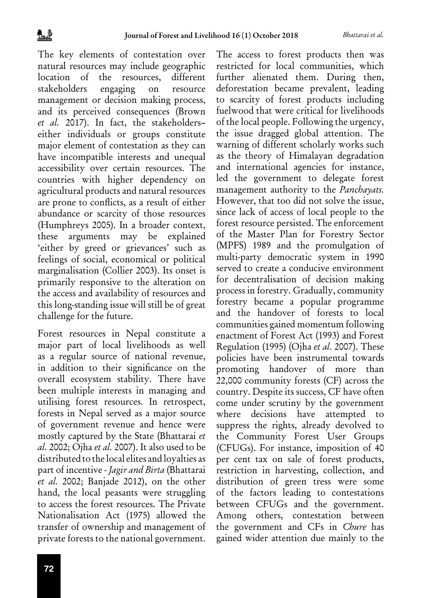The key elements of contestation over natural resources may include geographic location of the resources, different stakeholders engaging on resource management or decision making process, and its perceived consequences (Brown *et al.* 2017). In fact, the stakeholders– either individuals or groups constitute major element of contestation as they can have incompatible interests and unequal accessibility over certain resources. The countries with higher dependency on agricultural products and natural resources are prone to conflicts, as a result of either abundance or scarcity of those resources (Humphreys 2005). In a broader context, these arguments may be explained 'either by greed or grievances' such as feelings of social, economical or political marginalisation (Collier 2003). Its onset is primarily responsive to the alteration on the access and availability of resources and this long-standing issue will still be of great challenge for the future.

Forest resources in Nepal constitute a major part of local livelihoods as well as a regular source of national revenue, in addition to their significance on the overall ecosystem stability. There have been multiple interests in managing and utilising forest resources. In retrospect, forests in Nepal served as a major source of government revenue and hence were mostly captured by the State (Bhattarai *et al.* 2002; Ojha *et al.* 2007). It also used to be distributed to the local elites and loyalties as part of incentive - *Jagir and Birta* (Bhattarai *et al.* 2002; Banjade 2012), on the other hand, the local peasants were struggling to access the forest resources. The Private Nationalisation Act (1975) allowed the transfer of ownership and management of private forests to the national government.

The access to forest products then was restricted for local communities, which further alienated them. During then, deforestation became prevalent, leading to scarcity of forest products including fuelwood that were critical for livelihoods of the local people. Following the urgency, the issue dragged global attention. The warning of different scholarly works such as the theory of Himalayan degradation and international agencies for instance, led the government to delegate forest management authority to the *Panchayats.*  However, that too did not solve the issue, since lack of access of local people to the forest resource persisted. The enforcement of the Master Plan for Forestry Sector (MPFS) 1989 and the promulgation of multi-party democratic system in 1990 served to create a conducive environment for decentralisation of decision making process in forestry. Gradually, community forestry became a popular programme and the handover of forests to local communities gained momentum following enactment of Forest Act (1993) and Forest Regulation (1995) (Ojha *et al.* 2007). These policies have been instrumental towards promoting handover of more than 22,000 community forests (CF) across the country. Despite its success, CF have often come under scrutiny by the government where decisions have attempted to suppress the rights, already devolved to the Community Forest User Groups (CFUGs). For instance, imposition of 40 per cent tax on sale of forest products, restriction in harvesting, collection, and distribution of green tress were some of the factors leading to contestations between CFUGs and the government. Among others, contestation between the government and CFs in *Chure* has gained wider attention due mainly to the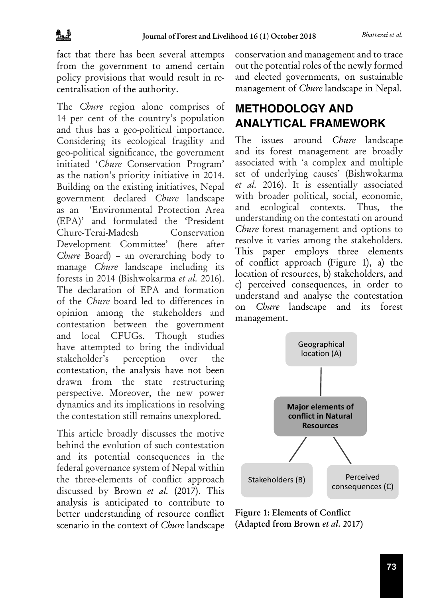fact that there has been several attempts from the government to amend certain policy provisions that would result in recentralisation of the authority.

The *Chure* region alone comprises of 14 per cent of the country's population and thus has a geo-political importance. Considering its ecological fragility and geo-political significance, the government initiated '*Chure* Conservation Program' as the nation's priority initiative in 2014. Building on the existing initiatives, Nepal government declared *Chure* landscape as an 'Environmental Protection Area (EPA)' and formulated the 'President Chure-Terai-Madesh Conservation Development Committee' (here after *Chure* Board) – an overarching body to manage *Chure* landscape including its forests in 2014 (Bishwokarma *et al.* 2016). The declaration of EPA and formation of the *Chure* board led to differences in opinion among the stakeholders and contestation between the government and local CFUGs. Though studies have attempted to bring the individual stakeholder's perception over the contestation, the analysis have not been drawn from the state restructuring perspective. Moreover, the new power dynamics and its implications in resolving the contestation still remains unexplored.

This article broadly discusses the motive behind the evolution of such contestation and its potential consequences in the federal governance system of Nepal within the three-elements of conflict approach discussed by Brown *et al.* (2017). This analysis is anticipated to contribute to better understanding of resource conflict scenario in the context of *Chure* landscape

conservation and management and to trace out the potential roles of the newly formed and elected governments, on sustainable management of *Chure* landscape in Nepal.

# **METHODOLOGY AND ANALYTICAL FRAMEWORK**

The issues around *Chure* landscape and its forest management are broadly associated with 'a complex and multiple set of underlying causes' (Bishwokarma *et al.* 2016). It is essentially associated with broader political, social, economic, and ecological contexts. Thus, the understanding on the contestati on around *Chure* forest management and options to resolve it varies among the stakeholders. This paper employs three elements of conflict approach (Figure 1), a) the location of resources, b) stakeholders, and c) perceived consequences, in order to understand and analyse the contestation on *Chure* landscape and its forest management.



Figure 1: Elements of Conflict (Adapted from Brown *et al.* 2017)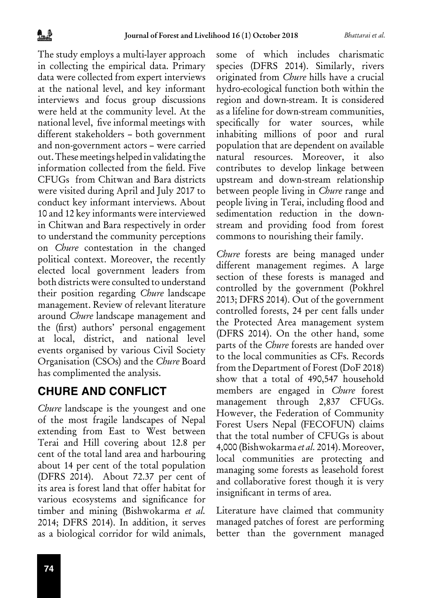The study employs a multi-layer approach in collecting the empirical data. Primary data were collected from expert interviews at the national level, and key informant interviews and focus group discussions were held at the community level. At the national level, five informal meetings with different stakeholders – both government and non-government actors – were carried out. These meetings helped in validating the information collected from the field. Five CFUGs from Chitwan and Bara districts were visited during April and July 2017 to conduct key informant interviews. About 10 and 12 key informants were interviewed in Chitwan and Bara respectively in order to understand the community perceptions on *Chure* contestation in the changed political context. Moreover, the recently elected local government leaders from both districts were consulted to understand their position regarding *Chure* landscape management. Review of relevant literature around *Chure* landscape management and the (first) authors' personal engagement at local, district, and national level events organised by various Civil Society Organisation (CSOs) and the *Chure* Board has complimented the analysis.

### **CHURE AND CONFLICT**

*Chure* landscape is the youngest and one of the most fragile landscapes of Nepal extending from East to West between Terai and Hill covering about 12.8 per cent of the total land area and harbouring about 14 per cent of the total population (DFRS 2014). About 72.37 per cent of its area is forest land that offer habitat for various ecosystems and significance for timber and mining (Bishwokarma *et al.* 2014; DFRS 2014). In addition, it serves as a biological corridor for wild animals,

some of which includes charismatic species (DFRS 2014). Similarly, rivers originated from *Chure* hills have a crucial hydro-ecological function both within the region and down-stream. It is considered as a lifeline for down-stream communities, specifically for water sources, while inhabiting millions of poor and rural population that are dependent on available natural resources. Moreover, it also contributes to develop linkage between upstream and down-stream relationship between people living in *Chure* range and people living in Terai, including flood and sedimentation reduction in the downstream and providing food from forest commons to nourishing their family.

*Chure* forests are being managed under different management regimes. A large section of these forests is managed and controlled by the government (Pokhrel 2013; DFRS 2014). Out of the government controlled forests, 24 per cent falls under the Protected Area management system (DFRS 2014). On the other hand, some parts of the *Chure* forests are handed over to the local communities as CFs. Records from the Department of Forest (DoF 2018) show that a total of 490,547 household members are engaged in *Chure* forest management through 2,837 CFUGs. However, the Federation of Community Forest Users Nepal (FECOFUN) claims that the total number of CFUGs is about 4,000 (Bishwokarma *et al.* 2014). Moreover, local communities are protecting and managing some forests as leasehold forest and collaborative forest though it is very insignificant in terms of area.

Literature have claimed that community managed patches of forest are performing better than the government managed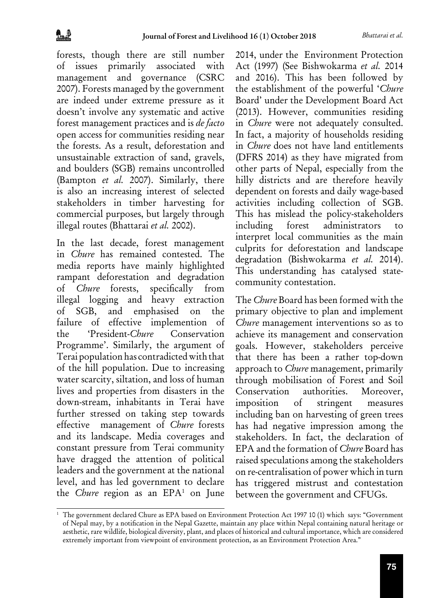forests, though there are still number of issues primarily associated with management and governance (CSRC 2007). Forests managed by the government are indeed under extreme pressure as it doesn't involve any systematic and active forest management practices and is *de facto*  open access for communities residing near the forests. As a result, deforestation and unsustainable extraction of sand, gravels, and boulders (SGB) remains uncontrolled (Bampton *et al.* 2007). Similarly, there is also an increasing interest of selected stakeholders in timber harvesting for commercial purposes, but largely through illegal routes (Bhattarai *et al.* 2002).

In the last decade, forest management in *Chure* has remained contested. The media reports have mainly highlighted rampant deforestation and degradation of *Chure* forests, specifically from illegal logging and heavy extraction of SGB, and emphasised on the failure of effective implemention of the 'President-*Chure* Conservation Programme'. Similarly, the argument of Terai population has contradicted with that of the hill population. Due to increasing water scarcity, siltation, and loss of human lives and properties from disasters in the down-stream, inhabitants in Terai have further stressed on taking step towards effective management of *Chure* forests and its landscape. Media coverages and constant pressure from Terai community have dragged the attention of political leaders and the government at the national level, and has led government to declare the *Chure* region as an EPA<sup>1</sup> on June 2014, under the Environment Protection Act (1997) (See Bishwokarma *et al.* 2014 and 2016). This has been followed by the establishment of the powerful '*Chure*  Board' under the Development Board Act (2013). However, communities residing in *Chure* were not adequately consulted. In fact, a majority of households residing in *Chure* does not have land entitlements (DFRS 2014) as they have migrated from other parts of Nepal, especially from the hilly districts and are therefore heavily dependent on forests and daily wage-based activities including collection of SGB. This has mislead the policy-stakeholders including forest administrators to interpret local communities as the main culprits for deforestation and landscape degradation (Bishwokarma *et al.* 2014). This understanding has catalysed statecommunity contestation.

The *Chure* Board has been formed with the primary objective to plan and implement *Chure* management interventions so as to achieve its management and conservation goals. However, stakeholders perceive that there has been a rather top-down approach to *Chure* management, primarily through mobilisation of Forest and Soil Conservation authorities. Moreover, imposition of stringent measures including ban on harvesting of green trees has had negative impression among the stakeholders. In fact, the declaration of EPA and the formation of *Chure* Board has raised speculations among the stakeholders on re-centralisation of power which in turn has triggered mistrust and contestation between the government and CFUGs.

<sup>1</sup> The government declared Chure as EPA based on Environment Protection Act 1997 10 (1) which says: "Government of Nepal may, by a notification in the Nepal Gazette, maintain any place within Nepal containing natural heritage or aesthetic, rare wildlife, biological diversity, plant, and places of historical and cultural importance, which are considered extremely important from viewpoint of environment protection, as an Environment Protection Area."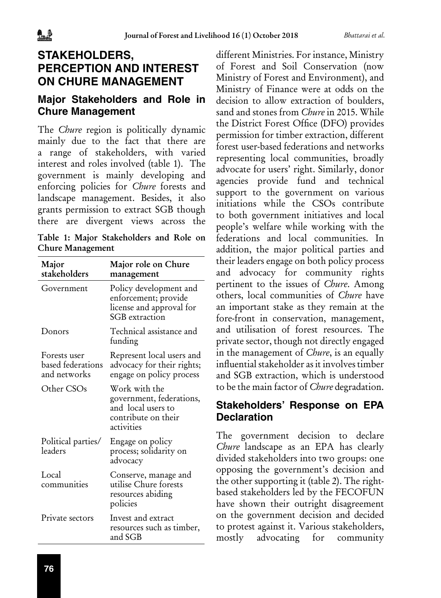# **STAKEHOLDERS, PERCEPTION AND INTEREST ON CHURE MANAGEMENT**

#### **Major Stakeholders and Role in Chure Management**

The *Chure* region is politically dynamic mainly due to the fact that there are a range of stakeholders, with varied interest and roles involved (table 1). The government is mainly developing and enforcing policies for *Chure* forests and landscape management. Besides, it also grants permission to extract SGB though there are divergent views across the

Table 1: Major Stakeholders and Role on Chure Management

| Major<br>stakeholders                             | Major role on Chure<br>management                                                                    |
|---------------------------------------------------|------------------------------------------------------------------------------------------------------|
| Government                                        | Policy development and<br>enforcement; provide<br>license and approval for<br>SGB extraction         |
| Donors                                            | Technical assistance and<br>funding                                                                  |
| Forests user<br>based federations<br>and networks | Represent local users and<br>advocacy for their rights;<br>engage on policy process                  |
| Other CSOs                                        | Work with the<br>government, federations,<br>and local users to<br>contribute on their<br>activities |
| Political parties/<br>leaders                     | Engage on policy<br>process; solidarity on<br>advocacy                                               |
| Local<br>communities                              | Conserve, manage and<br>utilise Chure forests<br>resources abiding<br>policies                       |
| Private sectors                                   | Invest and extract<br>resources such as timber,<br>and SGB                                           |

different Ministries. For instance, Ministry of Forest and Soil Conservation (now Ministry of Forest and Environment), and Ministry of Finance were at odds on the decision to allow extraction of boulders, sand and stones from *Chure* in 2015. While the District Forest Office (DFO) provides permission for timber extraction, different forest user-based federations and networks representing local communities, broadly advocate for users' right. Similarly, donor agencies provide fund and technical support to the government on various initiations while the CSOs contribute to both government initiatives and local people's welfare while working with the federations and local communities. In addition, the major political parties and their leaders engage on both policy process and advocacy for community rights pertinent to the issues of *Chure*. Among others, local communities of *Chure* have an important stake as they remain at the fore-front in conservation, management, and utilisation of forest resources. The private sector, though not directly engaged in the management of *Chure*, is an equally influential stakeholder as it involves timber and SGB extraction, which is understood to be the main factor of *Chure* degradation.

### **Stakeholders' Response on EPA Declaration**

The government decision to declare *Chure* landscape as an EPA has clearly divided stakeholders into two groups: one opposing the government's decision and the other supporting it (table 2). The rightbased stakeholders led by the FECOFUN have shown their outright disagreement on the government decision and decided to protest against it. Various stakeholders, mostly advocating for community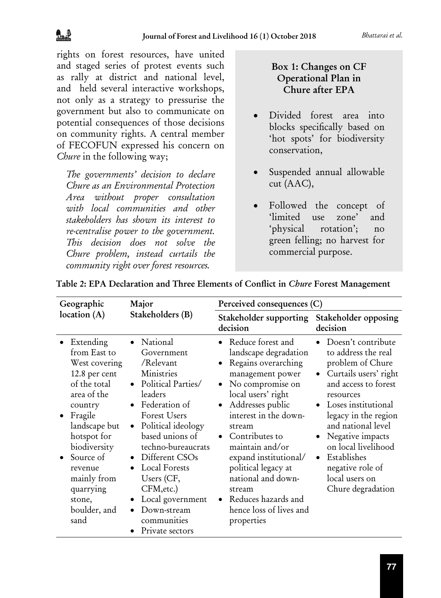rights on forest resources, have united and staged series of protest events such as rally at district and national level, and held several interactive workshops, not only as a strategy to pressurise the government but also to communicate on potential consequences of those decisions on community rights. A central member of FECOFUN expressed his concern on *Chure* in the following way;

*The governments' decision to declare Chure as an Environmental Protection Area without proper consultation with local communities and other stakeholders has shown its interest to re-centralise power to the government. This decision does not solve the Chure problem, instead curtails the community right over forest resources.* 

#### Box 1: Changes on CF Operational Plan in Chure after EPA

- • Divided forest area into blocks specifically based on 'hot spots' for biodiversity conservation,
- • Suspended annual allowable cut (AAC),
- Followed the concept of 'limited use zone' and 'physical rotation'; no green felling; no harvest for commercial purpose.

| Geographic<br>location $(A)$                                                                                                                                                                                                                             | Major                                                                                                                                                                                                                                                                                                                                                                                                                       | Perceived consequences (C)                                                                                                                                                                                                                                                                                                                                                                              |                                                                                                                                                                                                                                                                                                                                                                           |
|----------------------------------------------------------------------------------------------------------------------------------------------------------------------------------------------------------------------------------------------------------|-----------------------------------------------------------------------------------------------------------------------------------------------------------------------------------------------------------------------------------------------------------------------------------------------------------------------------------------------------------------------------------------------------------------------------|---------------------------------------------------------------------------------------------------------------------------------------------------------------------------------------------------------------------------------------------------------------------------------------------------------------------------------------------------------------------------------------------------------|---------------------------------------------------------------------------------------------------------------------------------------------------------------------------------------------------------------------------------------------------------------------------------------------------------------------------------------------------------------------------|
|                                                                                                                                                                                                                                                          | Stakeholders (B)                                                                                                                                                                                                                                                                                                                                                                                                            | Stakeholder supporting<br>decision                                                                                                                                                                                                                                                                                                                                                                      | Stakeholder opposing<br>decision                                                                                                                                                                                                                                                                                                                                          |
| • Extending<br>from East to<br>West covering<br>12.8 per cent<br>of the total<br>area of the<br>country<br>Fragile<br>landscape but<br>hotspot for<br>biodiversity<br>Source of<br>revenue<br>mainly from<br>quarrying<br>stone,<br>boulder, and<br>sand | • National<br>Government<br>/Relevant<br><b>Ministries</b><br>Political Parties/<br>$\bullet$<br>leaders<br>Federation of<br><b>Forest Users</b><br>Political ideology<br>$\bullet$<br>based unions of<br>techno-bureaucrats<br>Different CSOs<br>$\bullet$<br><b>Local Forests</b><br>$\bullet$<br>Users (CF,<br>CFM, etc.)<br>Local government<br>$\bullet$<br>Down-stream<br>$\bullet$<br>communities<br>Private sectors | • Reduce forest and<br>landscape degradation<br>Regains overarching<br>$\bullet$<br>management power<br>No compromise on<br>$\bullet$<br>local users' right<br>Addresses public<br>interest in the down-<br>stream<br>Contributes to<br>maintain and/or<br>expand institutional/<br>political legacy at<br>national and down-<br>stream<br>Reduces hazards and<br>hence loss of lives and<br>properties | Doesn't contribute<br>$\bullet$<br>to address the real<br>problem of Chure<br>Curtails users' right<br>$\bullet$<br>and access to forest<br>resources<br>Loses institutional<br>$\bullet$<br>legacy in the region<br>and national level<br>Negative impacts<br>on local livelihood<br>Establishes<br>$\bullet$<br>negative role of<br>local users on<br>Chure degradation |

| Table 2: EPA Declaration and Three Elements of Conflict in Chure Forest Management |  |  |
|------------------------------------------------------------------------------------|--|--|
|------------------------------------------------------------------------------------|--|--|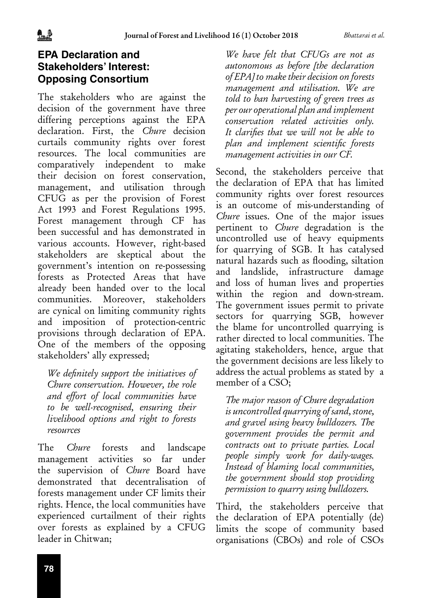#### **EPA Declaration and Stakeholders' Interest: Opposing Consortium**

The stakeholders who are against the decision of the government have three differing perceptions against the EPA declaration. First, the *Chure* decision curtails community rights over forest resources. The local communities are comparatively independent to make their decision on forest conservation, management, and utilisation through CFUG as per the provision of Forest Act 1993 and Forest Regulations 1995. Forest management through CF has been successful and has demonstrated in various accounts. However, right-based stakeholders are skeptical about the government's intention on re-possessing forests as Protected Areas that have already been handed over to the local communities. Moreover, stakeholders are cynical on limiting community rights and imposition of protection-centric provisions through declaration of EPA. One of the members of the opposing stakeholders' ally expressed;

*We definitely support the initiatives of Chure conservation. However, the role and effort of local communities have to be well-recognised, ensuring their livelihood options and right to forests resources*

The *Chure* forests and landscape management activities so far under the supervision of *Chure* Board have demonstrated that decentralisation of forests management under CF limits their rights. Hence, the local communities have experienced curtailment of their rights over forests as explained by a CFUG leader in Chitwan;

*We have felt that CFUGs are not as autonomous as before [the declaration of EPA] to make their decision on forests management and utilisation. We are told to ban harvesting of green trees as per our operational plan and implement conservation related activities only. It clarifies that we will not be able to plan and implement scientific forests management activities in our CF.*

Second, the stakeholders perceive that the declaration of EPA that has limited community rights over forest resources is an outcome of mis-understanding of *Chure* issues. One of the major issues pertinent to *Chure* degradation is the uncontrolled use of heavy equipments for quarrying of SGB. It has catalysed natural hazards such as flooding, siltation and landslide, infrastructure damage and loss of human lives and properties within the region and down-stream. The government issues permit to private sectors for quarrying SGB, however the blame for uncontrolled quarrying is rather directed to local communities. The agitating stakeholders, hence, argue that the government decisions are less likely to address the actual problems as stated by a member of a CSO;

*The major reason of Chure degradation is uncontrolled quarrying of sand, stone, and gravel using heavy bulldozers. The government provides the permit and contracts out to private parties. Local people simply work for daily-wages. Instead of blaming local communities, the government should stop providing permission to quarry using bulldozers.* 

Third, the stakeholders perceive that the declaration of EPA potentially (de) limits the scope of community based organisations (CBOs) and role of CSOs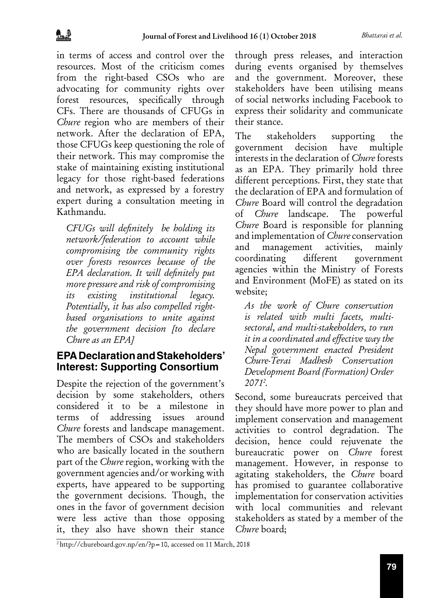in terms of access and control over the resources. Most of the criticism comes from the right-based CSOs who are advocating for community rights over forest resources, specifically through CFs. There are thousands of CFUGs in *Chure* region who are members of their network. After the declaration of EPA, those CFUGs keep questioning the role of their network. This may compromise the stake of maintaining existing institutional legacy for those right-based federations and network, as expressed by a forestry expert during a consultation meeting in Kathmandu.

*CFUGs will definitely be holding its network/federation to account while compromising the community rights over forests resources because of the EPA declaration. It will definitely put more pressure and risk of compromising its existing institutional legacy. Potentially, it has also compelled rightbased organisations to unite against the government decision [to declare Chure as an EPA]*

#### **EPA Declaration and Stakeholders' Interest: Supporting Consortium**

Despite the rejection of the government's decision by some stakeholders, others considered it to be a milestone in terms of addressing issues around *Chure* forests and landscape management. The members of CSOs and stakeholders who are basically located in the southern part of the *Chure* region, working with the government agencies and/or working with experts, have appeared to be supporting the government decisions. Though, the ones in the favor of government decision were less active than those opposing it, they also have shown their stance

through press releases, and interaction during events organised by themselves and the government. Moreover, these stakeholders have been utilising means of social networks including Facebook to express their solidarity and communicate their stance.

The stakeholders supporting the government decision have multiple interests in the declaration of *Chure* forests as an EPA. They primarily hold three different perceptions. First, they state that the declaration of EPA and formulation of *Chure* Board will control the degradation of *Chure* landscape. The powerful *Chure* Board is responsible for planning and implementation of *Chure* conservation and management activities, mainly coordinating different government agencies within the Ministry of Forests and Environment (MoFE) as stated on its website;

*As the work of Chure conservation is related with multi facets, multisectoral, and multi-stakeholders, to run it in a coordinated and effective way the Nepal government enacted President Chure-Terai Madhesh Conservation Development Board (Formation) Order 20712 .*

Second, some bureaucrats perceived that they should have more power to plan and implement conservation and management activities to control degradation. The decision, hence could rejuvenate the bureaucratic power on *Chure* forest management. However, in response to agitating stakeholders, the *Chure* board has promised to guarantee collaborative implementation for conservation activities with local communities and relevant stakeholders as stated by a member of the *Chure* board;

2 http://chureboard.gov.np/en/?p=10, accessed on 11 March, 2018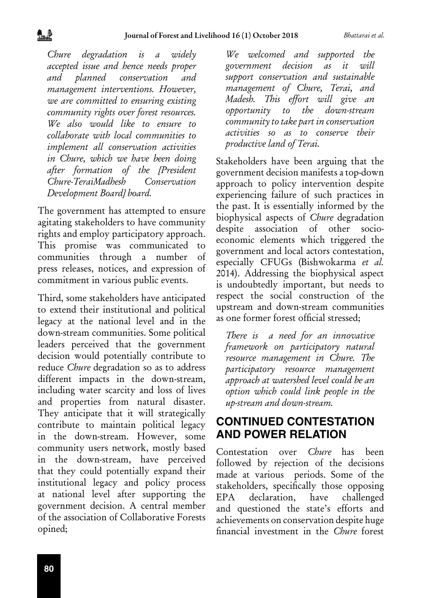*Chure degradation is a widely accepted issue and hence needs proper and planned conservation and management interventions. However, we are committed to ensuring existing community rights over forest resources. We also would like to ensure to collaborate with local communities to implement all conservation activities in Chure, which we have been doing after formation of the [President Chure-TeraiMadhesh Conservation Development Board] board.*

The government has attempted to ensure agitating stakeholders to have community rights and employ participatory approach. This promise was communicated to communities through a number of press releases, notices, and expression of commitment in various public events.

Third, some stakeholders have anticipated to extend their institutional and political legacy at the national level and in the down-stream communities. Some political leaders perceived that the government decision would potentially contribute to reduce *Chure* degradation so as to address different impacts in the down-stream, including water scarcity and loss of lives and properties from natural disaster. They anticipate that it will strategically contribute to maintain political legacy in the down-stream. However, some community users network, mostly based in the down-stream, have perceived that they could potentially expand their institutional legacy and policy process at national level after supporting the government decision. A central member of the association of Collaborative Forests opined;

*We welcomed and supported the government decision as it will support conservation and sustainable management of Chure, Terai, and Madesh. This effort will give an opportunity to the down-stream community to take part in conservation activities so as to conserve their productive land of Terai.* 

Stakeholders have been arguing that the government decision manifests a top-down approach to policy intervention despite experiencing failure of such practices in the past. It is essentially informed by the biophysical aspects of *Chure* degradation despite association of other socioeconomic elements which triggered the government and local actors contestation, especially CFUGs (Bishwokarma *et al.* 2014). Addressing the biophysical aspect is undoubtedly important, but needs to respect the social construction of the upstream and down-stream communities as one former forest official stressed;

*There is a need for an innovative framework on participatory natural resource management in Chure. The participatory resource management approach at watershed level could be an option which could link people in the up-stream and down-stream.*

## **CONTINUED CONTESTATION AND POWER RELATION**

Contestation over *Chure* has been followed by rejection of the decisions made at various periods. Some of the stakeholders, specifically those opposing EPA declaration, have challenged and questioned the state's efforts and achievements on conservation despite huge financial investment in the *Chure* forest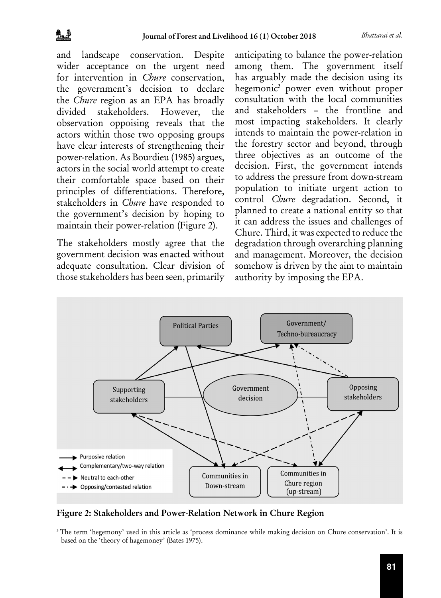and landscape conservation. Despite wider acceptance on the urgent need for intervention in *Chure* conservation, the government's decision to declare the *Chure* region as an EPA has broadly divided stakeholders. However, the observation oppoising reveals that the actors within those two opposing groups have clear interests of strengthening their power-relation. As Bourdieu (1985) argues, actors in the social world attempt to create their comfortable space based on their principles of differentiations. Therefore, stakeholders in *Chure* have responded to the government's decision by hoping to maintain their power-relation (Figure 2).

The stakeholders mostly agree that the government decision was enacted without adequate consultation. Clear division of those stakeholders has been seen, primarily anticipating to balance the power-relation among them. The government itself has arguably made the decision using its hegemonic3 power even without proper consultation with the local communities and stakeholders – the frontline and most impacting stakeholders. It clearly intends to maintain the power-relation in the forestry sector and beyond, through three objectives as an outcome of the decision. First, the government intends to address the pressure from down-stream population to initiate urgent action to control *Chure* degradation. Second, it planned to create a national entity so that it can address the issues and challenges of Chure. Third, it was expected to reduce the degradation through overarching planning and management. Moreover, the decision somehow is driven by the aim to maintain authority by imposing the EPA.



Figure 2: Stakeholders and Power-Relation Network in Chure Region

<sup>&</sup>lt;sup>3</sup>The term 'hegemony' used in this article as 'process dominance while making decision on Chure conservation'. It is based on the 'theory of hagemoney' (Bates 1975).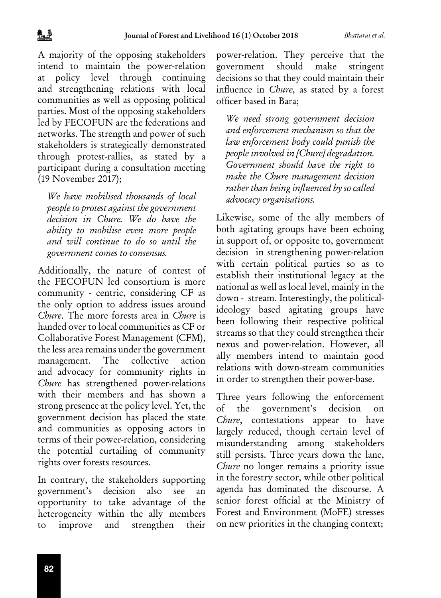A majority of the opposing stakeholders intend to maintain the power-relation at policy level through continuing and strengthening relations with local communities as well as opposing political parties. Most of the opposing stakeholders led by FECOFUN are the federations and networks. The strength and power of such stakeholders is strategically demonstrated through protest-rallies, as stated by a participant during a consultation meeting (19 November 2017);

*We have mobilised thousands of local people to protest against the government decision in Chure. We do have the ability to mobilise even more people and will continue to do so until the government comes to consensus.*

Additionally, the nature of contest of the FECOFUN led consortium is more community - centric, considering CF as the only option to address issues around *Chure*. The more forests area in *Chure* is handed over to local communities as CF or Collaborative Forest Management (CFM), the less area remains under the government management. The collective action and advocacy for community rights in *Chure* has strengthened power-relations with their members and has shown a strong presence at the policy level. Yet, the government decision has placed the state and communities as opposing actors in terms of their power-relation, considering the potential curtailing of community rights over forests resources.

In contrary, the stakeholders supporting government's decision also see an opportunity to take advantage of the heterogeneity within the ally members to improve and strengthen their

power-relation. They perceive that the government should make stringent decisions so that they could maintain their influence in *Chure*, as stated by a forest officer based in Bara;

*We need strong government decision and enforcement mechanism so that the law enforcement body could punish the people involved in [Chure] degradation. Government should have the right to make the Chure management decision rather than being influenced by so called advocacy organisations.*

Likewise, some of the ally members of both agitating groups have been echoing in support of, or opposite to, government decision in strengthening power-relation with certain political parties so as to establish their institutional legacy at the national as well as local level, mainly in the down - stream. Interestingly, the politicalideology based agitating groups have been following their respective political streams so that they could strengthen their nexus and power-relation. However, all ally members intend to maintain good relations with down-stream communities in order to strengthen their power-base.

Three years following the enforcement of the government's decision on *Chure*, contestations appear to have largely reduced, though certain level of misunderstanding among stakeholders still persists. Three years down the lane, *Chure* no longer remains a priority issue in the forestry sector, while other political agenda has dominated the discourse. A senior forest official at the Ministry of Forest and Environment (MoFE) stresses on new priorities in the changing context;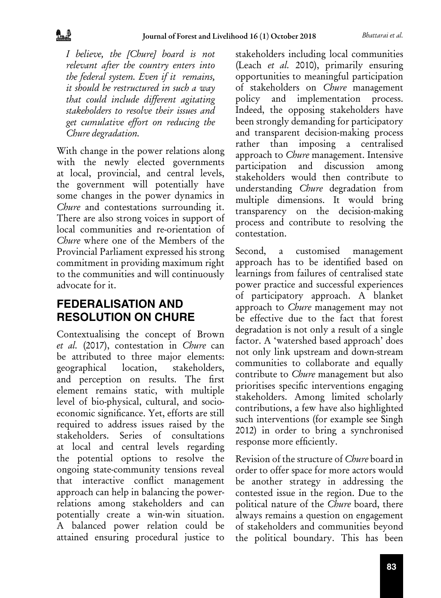*I believe, the [Chure] board is not relevant after the country enters into the federal system. Even if it remains, it should be restructured in such a way that could include different agitating stakeholders to resolve their issues and get cumulative effort on reducing the Chure degradation.*

With change in the power relations along with the newly elected governments at local, provincial, and central levels, the government will potentially have some changes in the power dynamics in *Chure* and contestations surrounding it. There are also strong voices in support of local communities and re-orientation of *Chure* where one of the Members of the Provincial Parliament expressed his strong commitment in providing maximum right to the communities and will continuously advocate for it.

# **FEDERALISATION AND RESOLUTION ON CHURE**

Contextualising the concept of Brown *et al.* (2017), contestation in *Chure* can be attributed to three major elements: geographical location, stakeholders, and perception on results. The first element remains static, with multiple level of bio-physical, cultural, and socioeconomic significance. Yet, efforts are still required to address issues raised by the stakeholders. Series of consultations at local and central levels regarding the potential options to resolve the ongoing state-community tensions reveal that interactive conflict management approach can help in balancing the powerrelations among stakeholders and can potentially create a win-win situation. A balanced power relation could be attained ensuring procedural justice to

stakeholders including local communities (Leach *et al.* 2010), primarily ensuring opportunities to meaningful participation of stakeholders on *Chure* management policy and implementation process. Indeed, the opposing stakeholders have been strongly demanding for participatory and transparent decision-making process rather than imposing a centralised approach to *Chure* management. Intensive participation and discussion among stakeholders would then contribute to understanding *Chure* degradation from multiple dimensions. It would bring transparency on the decision-making process and contribute to resolving the contestation.

Second, a customised management approach has to be identified based on learnings from failures of centralised state power practice and successful experiences of participatory approach. A blanket approach to *Chure* management may not be effective due to the fact that forest degradation is not only a result of a single factor. A 'watershed based approach' does not only link upstream and down-stream communities to collaborate and equally contribute to *Chure* management but also prioritises specific interventions engaging stakeholders. Among limited scholarly contributions, a few have also highlighted such interventions (for example see Singh 2012) in order to bring a synchronised response more efficiently.

Revision of the structure of *Chure* board in order to offer space for more actors would be another strategy in addressing the contested issue in the region. Due to the political nature of the *Chure* board, there always remains a question on engagement of stakeholders and communities beyond the political boundary. This has been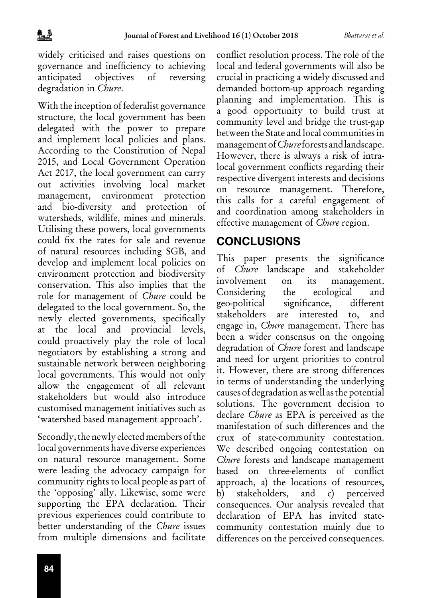widely criticised and raises questions on governance and inefficiency to achieving anticipated objectives of reversing degradation in *Chure*.

With the inception of federalist governance structure, the local government has been delegated with the power to prepare and implement local policies and plans. According to the Constitution of Nepal 2015, and Local Government Operation Act 2017, the local government can carry out activities involving local market management, environment protection and bio-diversity and protection of watersheds, wildlife, mines and minerals. Utilising these powers, local governments could fix the rates for sale and revenue of natural resources including SGB, and develop and implement local policies on environment protection and biodiversity conservation. This also implies that the role for management of *Chure* could be delegated to the local government. So, the newly elected governments, specifically at the local and provincial levels, could proactively play the role of local negotiators by establishing a strong and sustainable network between neighboring local governments. This would not only allow the engagement of all relevant stakeholders but would also introduce customised management initiatives such as 'watershed based management approach'.

Secondly, the newly elected members of the local governments have diverse experiences on natural resource management. Some were leading the advocacy campaign for community rights to local people as part of the 'opposing' ally. Likewise, some were supporting the EPA declaration. Their previous experiences could contribute to better understanding of the *Chure* issues from multiple dimensions and facilitate

conflict resolution process. The role of the local and federal governments will also be crucial in practicing a widely discussed and demanded bottom-up approach regarding planning and implementation. This is a good opportunity to build trust at community level and bridge the trust-gap between the State and local communities in management of *Chure* forests and landscape. However, there is always a risk of intralocal government conflicts regarding their respective divergent interests and decisions on resource management. Therefore, this calls for a careful engagement of and coordination among stakeholders in effective management of *Chure* region.

### **CONCLUSIONS**

This paper presents the significance of *Chure* landscape and stakeholder involvement on its management. Considering the ecological and geo-political significance, different stakeholders are interested to, and engage in, *Chure* management. There has been a wider consensus on the ongoing degradation of *Chure* forest and landscape and need for urgent priorities to control it. However, there are strong differences in terms of understanding the underlying causes of degradation as well as the potential solutions. The government decision to declare *Chure* as EPA is perceived as the manifestation of such differences and the crux of state-community contestation. We described ongoing contestation on *Chure* forests and landscape management based on three-elements of conflict approach, a) the locations of resources, b) stakeholders, and c) perceived consequences. Our analysis revealed that declaration of EPA has invited statecommunity contestation mainly due to differences on the perceived consequences.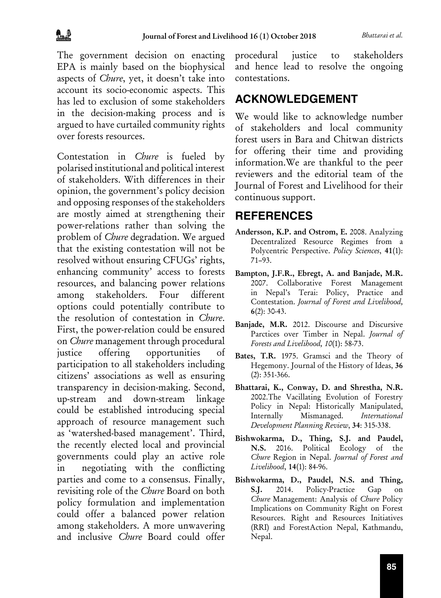The government decision on enacting EPA is mainly based on the biophysical aspects of *Chure*, yet, it doesn't take into account its socio-economic aspects. This has led to exclusion of some stakeholders in the decision-making process and is argued to have curtailed community rights over forests resources.

Contestation in *Chure* is fueled by polarised institutional and political interest of stakeholders. With differences in their opinion, the government's policy decision and opposing responses of the stakeholders are mostly aimed at strengthening their power-relations rather than solving the problem of *Chure* degradation. We argued that the existing contestation will not be resolved without ensuring CFUGs' rights, enhancing community' access to forests resources, and balancing power relations among stakeholders. Four different options could potentially contribute to the resolution of contestation in *Chure*. First, the power-relation could be ensured on *Chure* management through procedural justice offering opportunities of participation to all stakeholders including citizens' associations as well as ensuring transparency in decision-making. Second, up-stream and down-stream linkage could be established introducing special approach of resource management such as 'watershed-based management'. Third, the recently elected local and provincial governments could play an active role in negotiating with the conflicting parties and come to a consensus. Finally, revisiting role of the *Chure* Board on both policy formulation and implementation could offer a balanced power relation among stakeholders. A more unwavering and inclusive *Chure* Board could offer

procedural justice to stakeholders and hence lead to resolve the ongoing contestations.

### **ACKNOWLEDGEMENT**

We would like to acknowledge number of stakeholders and local community forest users in Bara and Chitwan districts for offering their time and providing information.We are thankful to the peer reviewers and the editorial team of the Journal of Forest and Livelihood for their continuous support.

#### **REFERENCES**

- Andersson, K.P. and Ostrom, E. 2008. Analyzing Decentralized Resource Regimes from a Polycentric Perspective. *Policy Sciences*, 41(1): 71–93.
- Bampton, J.F.R., Ebregt, A. and Banjade, M.R. 2007. Collaborative Forest Management in Nepal's Terai: Policy, Practice and Contestation. *Journal of Forest and Livelihood,* 6(2): 30-43.
- Banjade, M.R. 2012. Discourse and Discursive Parctices over Timber in Nepal. *Journal of Forests and Livelihood, 10*(1): 58-73.
- Bates, T.R. 1975. Gramsci and the Theory of Hegemony. Journal of the History of Ideas, 36 (2): 351-366.
- Bhattarai, K., Conway, D. and Shrestha, N.R. 2002.The Vacillating Evolution of Forestry Policy in Nepal: Historically Manipulated, Internally Mismanaged. *International Development Planning Review*, 34: 315-338.
- Bishwokarma, D., Thing, S.J. and Paudel, N.S. 2016. Political Ecology of the *Chure* Region in Nepal. *Journal of Forest and Livelihood*, 14(1): 84-96.
- Bishwokarma, D., Paudel, N.S. and Thing, S.J. 2014. Policy-Practice Gap on *Chure* Management: Analysis of *Chure* Policy Implications on Community Right on Forest Resources. Right and Resources Initiatives (RRI) and ForestAction Nepal, Kathmandu, Nepal.